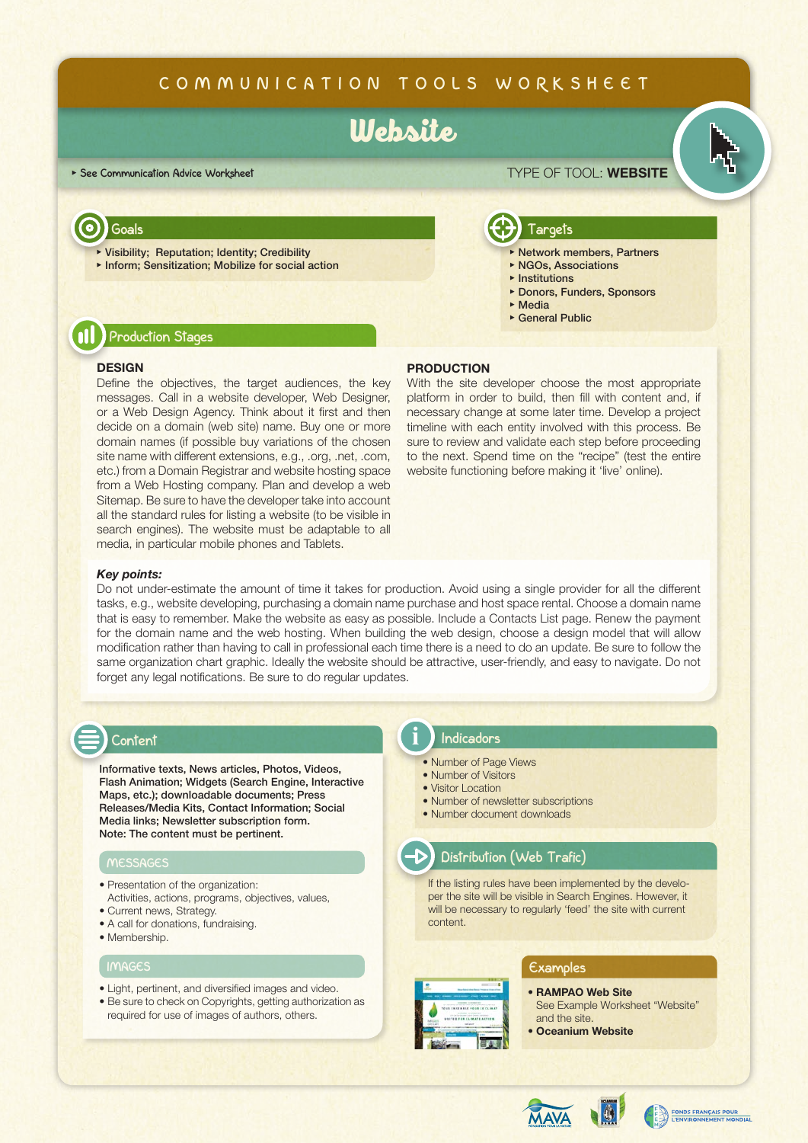# **COMMUNICATION TOOLS WORKSHEET**

# Website

▶︎ **See Communication Advice Worksheet**

### TYPE OF TOOL: **WEBSITE**

▶︎ Network members, Partners ▶ NGOs, Associations ▶ Institutions

▶ Donors, Funders, Sponsors



### **Goals**

- ▶︎ Visibility; Reputation; Identity; Credibility
- ▶︎ Inform; Sensitization; Mobilize for social action

# **Production Stages**

### **DESIGN**

Define the objectives, the target audiences, the key messages. Call in a website developer, Web Designer, or a Web Design Agency. Think about it first and then decide on a domain (web site) name. Buy one or more domain names (if possible buy variations of the chosen site name with different extensions, e.g., .org, .net, .com, etc.) from a Domain Registrar and website hosting space from a Web Hosting company. Plan and develop a web Sitemap. Be sure to have the developer take into account all the standard rules for listing a website (to be visible in search engines). The website must be adaptable to all media, in particular mobile phones and Tablets.

### **PRODUCTION**

With the site developer choose the most appropriate platform in order to build, then fill with content and, if necessary change at some later time. Develop a project timeline with each entity involved with this process. Be sure to review and validate each step before proceeding to the next. Spend time on the "recipe" (test the entire website functioning before making it 'live' online).

**Targets** 

▶︎ Media ▶︎ General Public

#### *Key points:*

Do not under-estimate the amount of time it takes for production. Avoid using a single provider for all the different tasks, e.g., website developing, purchasing a domain name purchase and host space rental. Choose a domain name that is easy to remember. Make the website as easy as possible. Include a Contacts List page. Renew the payment for the domain name and the web hosting. When building the web design, choose a design model that will allow modification rather than having to call in professional each time there is a need to do an update. Be sure to follow the same organization chart graphic. Ideally the website should be attractive, user-friendly, and easy to navigate. Do not forget any legal notifications. Be sure to do regular updates.

# **Content**

Informative texts, News articles, Photos, Videos, Flash Animation; Widgets (Search Engine, Interactive Maps, etc.); downloadable documents; Press Releases/Media Kits, Contact Information; Social Media links: Newsletter subscription form. Note: The content must be pertinent.

# **MESSAGES**

- Presentation of the organization: Activities, actions, programs, objectives, values,
- Current news, Strategy.
- A call for donations, fundraising.
- Membership.

### **IMAGES**

- Light, pertinent, and diversified images and video.
- Be sure to check on Copyrights, getting authorization as required for use of images of authors, others.

# **Indicadors**

- Number of Page Views
- Number of Visitors
- 
- Number of newsletter subscriptions
- 

### Distribution (Web Trafic)

If the listing rules have been implemented by the developer the site will be visible in Search Engines. However, it will be necessary to regularly 'feed' the site with current content.

# **Examples**

- **[RAMPAO Web Site](http://rampao.org/)** See Example Worksheet "Website" and the site.
- **[Oceanium Website](http://rampao.org/IMG/pdf/site_oceanium.png)**





# **i**

- Visitor Location
	-
- Number document downloads